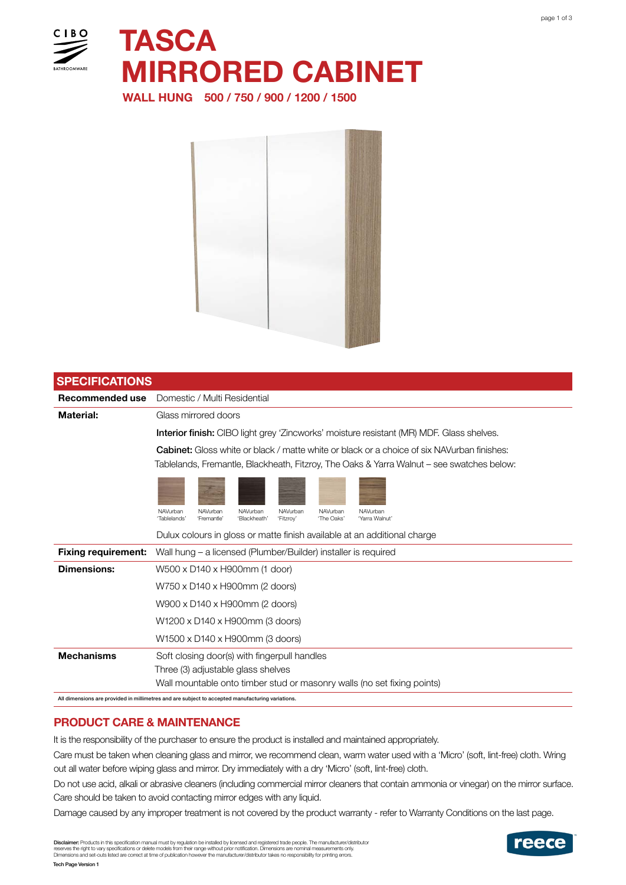

**TASCA** MIRRORED CABINET

WALL HUNG 500 / 750 / 900 / 1200 / 1500



| <b>SPECIFICATIONS</b>                                                                            |                                                                                                                                                                  |
|--------------------------------------------------------------------------------------------------|------------------------------------------------------------------------------------------------------------------------------------------------------------------|
| Recommended use                                                                                  | Domestic / Multi Residential                                                                                                                                     |
| <b>Material:</b>                                                                                 | Glass mirrored doors                                                                                                                                             |
|                                                                                                  | <b>Interior finish:</b> CIBO light grey 'Zincworks' moisture resistant (MR) MDF. Glass shelves.                                                                  |
|                                                                                                  | <b>Cabinet:</b> Gloss white or black / matte white or black or a choice of six NAVurban finishes:                                                                |
|                                                                                                  | Tablelands, Fremantle, Blackheath, Fitzroy, The Oaks & Yarra Walnut – see swatches below:                                                                        |
|                                                                                                  |                                                                                                                                                                  |
|                                                                                                  |                                                                                                                                                                  |
|                                                                                                  | NAVurban<br>NAVurban<br>NAVurban<br>NAVurban<br>NAVurban<br>NAVurban<br>'Tablelands'<br>'The Oaks'<br>'Yarra Walnut'<br>'Fremantle'<br>'Blackheath'<br>'Fitzroy' |
|                                                                                                  | Dulux colours in gloss or matte finish available at an additional charge                                                                                         |
| <b>Fixing requirement:</b>                                                                       | Wall hung – a licensed (Plumber/Builder) installer is required                                                                                                   |
| <b>Dimensions:</b>                                                                               | W500 x D140 x H900mm (1 door)                                                                                                                                    |
|                                                                                                  | W750 x D140 x H900mm (2 doors)                                                                                                                                   |
|                                                                                                  | W900 x D140 x H900mm (2 doors)                                                                                                                                   |
|                                                                                                  | W1200 x D140 x H900mm (3 doors)                                                                                                                                  |
|                                                                                                  | W1500 x D140 x H900mm (3 doors)                                                                                                                                  |
| <b>Mechanisms</b>                                                                                | Soft closing door(s) with fingerpull handles                                                                                                                     |
|                                                                                                  | Three (3) adjustable glass shelves                                                                                                                               |
|                                                                                                  | Wall mountable onto timber stud or masonry walls (no set fixing points)                                                                                          |
| All dimensions are provided in millimetres and are subject to accepted manufacturing variations. |                                                                                                                                                                  |

## PRODUCT CARE & MAINTENANCE

It is the responsibility of the purchaser to ensure the product is installed and maintained appropriately.

Care must be taken when cleaning glass and mirror, we recommend clean, warm water used with a 'Micro' (soft, lint-free) cloth. Wring out all water before wiping glass and mirror. Dry immediately with a dry 'Micro' (soft, lint-free) cloth.

Do not use acid, alkali or abrasive cleaners (including commercial mirror cleaners that contain ammonia or vinegar) on the mirror surface. Care should be taken to avoid contacting mirror edges with any liquid.

Damage caused by any improper treatment is not covered by the product warranty - refer to Warranty Conditions on the last page.

**Disclaimer:** Products in this specification manual must by regulation be installed by licensed and registered trade people. The manufacturer/distributor<br>reserves the right to vary specifications or delete models from thei

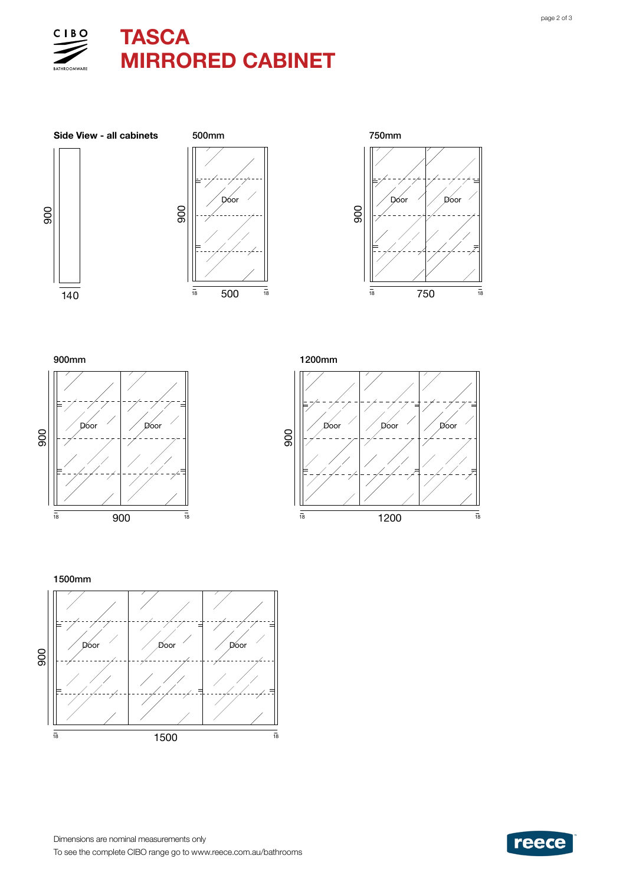